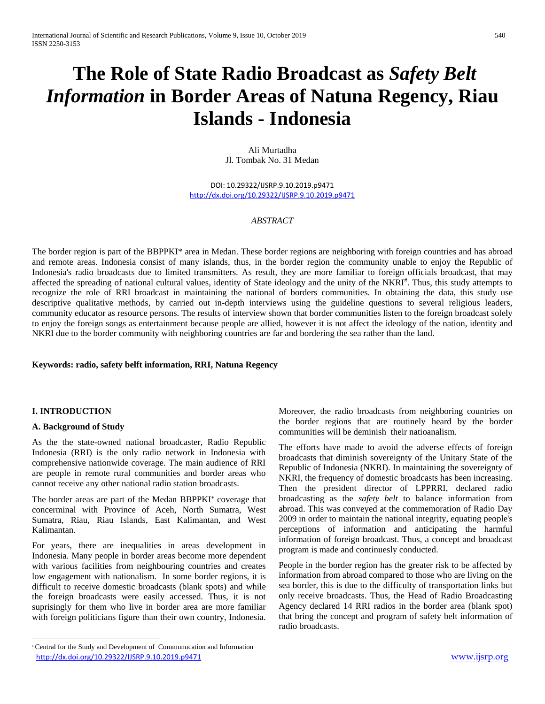# **The Role of State Radio Broadcast as** *Safety Belt Information* **in Border Areas of Natuna Regency, Riau Islands - Indonesia**

Ali Murtadha Jl. Tombak No. 31 Medan

DOI: 10.29322/IJSRP.9.10.2019.p9471 <http://dx.doi.org/10.29322/IJSRP.9.10.2019.p9471>

## *ABSTRACT*

The border region is part of the BBPPKI\* area in Medan. These border regions are neighboring with foreign countries and has abroad and remote areas. Indonesia consist of many islands, thus, in the border region the community unable to enjoy the Republic of Indonesia's radio broadcasts due to limited transmitters. As result, they are more familiar to foreign officials broadcast, that may affected the spreading of national cultural values, identity of State ideology and the unity of the NKRI#. Thus, this study attempts to recognize the role of RRI broadcast in maintaining the national of borders communities. In obtaining the data, this study use descriptive qualitative methods, by carried out in-depth interviews using the guideline questions to several religious leaders, community educator as resource persons. The results of interview shown that border communities listen to the foreign broadcast solely to enjoy the foreign songs as entertainment because people are allied, however it is not affect the ideology of the nation, identity and NKRI due to the border community with neighboring countries are far and bordering the sea rather than the land.

#### **Keywords: radio, safety belft information, RRI, Natuna Regency**

#### **I. INTRODUCTION**

**.** 

#### **A. Background of Study**

As the the state-owned national broadcaster, Radio Republic Indonesia (RRI) is the only radio network in Indonesia with comprehensive nationwide coverage. The main audience of RRI are people in remote rural communities and border areas who cannot receive any other national radio station broadcasts.

The border areas are part of the Medan BBPPKI<sup>\*</sup> coverage that concerminal with Province of Aceh, North Sumatra, West Sumatra, Riau, Riau Islands, East Kalimantan, and West Kalimantan.

For years, there are inequalities in areas development in Indonesia. Many people in border areas become more dependent with various facilities from neighbouring countries and creates low engagement with nationalism. In some border regions, it is difficult to receive domestic broadcasts (blank spots) and while the foreign broadcasts were easily accessed. Thus, it is not suprisingly for them who live in border area are more familiar with foreign politicians figure than their own country, Indonesia. Moreover, the radio broadcasts from neighboring countries on the border regions that are routinely heard by the border communities will be deminish their natioanalism.

The efforts have made to avoid the adverse effects of foreign broadcasts that diminish sovereignty of the Unitary State of the Republic of Indonesia (NKRI). In maintaining the sovereignty of NKRI, the frequency of domestic broadcasts has been increasing. Then the president director of LPPRRI, declared radio broadcasting as the *safety belt* to balance information from abroad. This was conveyed at the commemoration of Radio Day 2009 in order to maintain the national integrity, equating people's perceptions of information and anticipating the harmful information of foreign broadcast. Thus, a concept and broadcast program is made and continuesly conducted.

People in the border region has the greater risk to be affected by information from abroad compared to those who are living on the sea border, this is due to the difficulty of transportation links but only receive broadcasts. Thus, the Head of Radio Broadcasting Agency declared 14 RRI radios in the border area (blank spot) that bring the concept and program of safety belt information of radio broadcasts.

<http://dx.doi.org/10.29322/IJSRP.9.10.2019.p9471> [www.ijsrp.org](http://ijsrp.org/) Central for the Study and Development of Communucation and Information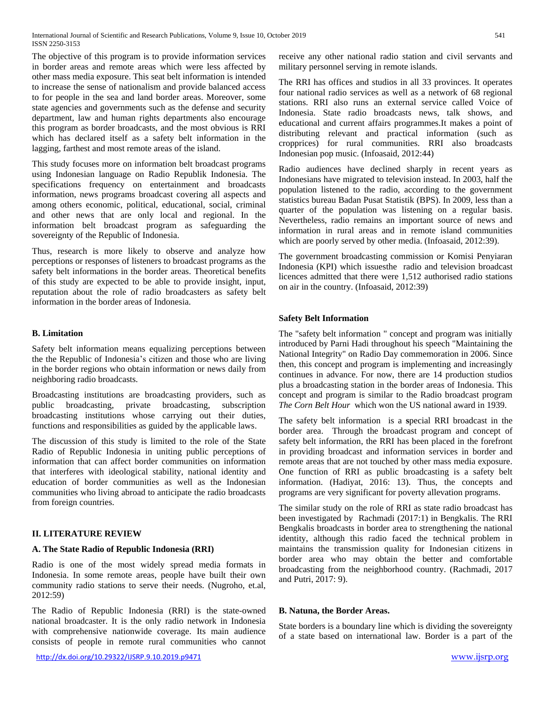The objective of this program is to provide information services in border areas and remote areas which were less affected by other mass media exposure. This seat belt information is intended to increase the sense of nationalism and provide balanced access to for people in the sea and land border areas. Moreover, some state agencies and governments such as the defense and security department, law and human rights departments also encourage this program as border broadcasts, and the most obvious is RRI which has declared itself as a safety belt information in the lagging, farthest and most remote areas of the island.

This study focuses more on information belt broadcast programs using Indonesian language on Radio Republik Indonesia. The specifications frequency on entertainment and broadcasts information, news programs broadcast covering all aspects and among others economic, political, educational, social, criminal and other news that are only local and regional. In the information belt broadcast program as safeguarding the sovereignty of the Republic of Indonesia.

Thus, research is more likely to observe and analyze how perceptions or responses of listeners to broadcast programs as the safety belt informations in the border areas. Theoretical benefits of this study are expected to be able to provide insight, input, reputation about the role of radio broadcasters as safety belt information in the border areas of Indonesia.

## **B. Limitation**

Safety belt information means equalizing perceptions between the the Republic of Indonesia's citizen and those who are living in the border regions who obtain information or news daily from neighboring radio broadcasts.

Broadcasting institutions are broadcasting providers, such as public broadcasting, private broadcasting, subscription broadcasting institutions whose carrying out their duties, functions and responsibilities as guided by the applicable laws.

The discussion of this study is limited to the role of the State Radio of Republic Indonesia in uniting public perceptions of information that can affect border communities on information that interferes with ideological stability, national identity and education of border communities as well as the Indonesian communities who living abroad to anticipate the radio broadcasts from foreign countries.

# **II. LITERATURE REVIEW**

#### **A. The State Radio of Republic Indonesia (RRI)**

Radio is one of the most widely spread media formats in Indonesia. In some remote areas, people have built their own community radio stations to serve their needs. (Nugroho, et.al, 2012:59)

The Radio of Republic Indonesia (RRI) is the state-owned national broadcaster. It is the only radio network in Indonesia with comprehensive nationwide coverage. Its main audience consists of people in remote rural communities who cannot receive any other national radio station and civil servants and military personnel serving in remote islands.

The RRI has offices and studios in all 33 provinces. It operates four national radio services as well as a network of 68 regional stations. RRI also runs an external service called Voice of Indonesia. State radio broadcasts news, talk shows, and educational and current affairs programmes.It makes a point of distributing relevant and practical information (such as cropprices) for rural communities. RRI also broadcasts Indonesian pop music. (Infoasaid, 2012:44)

Radio audiences have declined sharply in recent years as Indonesians have migrated to television instead. In 2003, half the population listened to the radio, according to the government statistics bureau Badan Pusat Statistik (BPS). In 2009, less than a quarter of the population was listening on a regular basis. Nevertheless, radio remains an important source of news and information in rural areas and in remote island communities which are poorly served by other media. (Infoasaid, 2012:39).

The government broadcasting commission or Komisi Penyiaran Indonesia (KPI) which issuesthe radio and television broadcast licences admitted that there were 1,512 authorised radio stations on air in the country. (Infoasaid, 2012:39)

## **Safety Belt Information**

The "safety belt information " concept and program was initially introduced by Parni Hadi throughout his speech "Maintaining the National Integrity" on Radio Day commemoration in 2006. Since then, this concept and program is implementing and increasingly continues in advance. For now, there are 14 production studios plus a broadcasting station in the border areas of Indonesia. This concept and program is similar to the Radio broadcast program *The Corn Belt Hour* which won the US national award in 1939.

The safety belt information is a **s**pecial RRI broadcast in the border area. Through the broadcast program and concept of safety belt information, the RRI has been placed in the forefront in providing broadcast and information services in border and remote areas that are not touched by other mass media exposure. One function of RRI as public broadcasting is a safety belt information. (Hadiyat, 2016: 13). Thus, the concepts and programs are very significant for poverty allevation programs.

The similar study on the role of RRI as state radio broadcast has been investigated by Rachmadi (2017:1) in Bengkalis. The RRI Bengkalis broadcasts in border area to strengthening the national identity, although this radio faced the technical problem in maintains the transmission quality for Indonesian citizens in border area who may obtain the better and comfortable broadcasting from the neighborhood country. (Rachmadi, 2017 and Putri, 2017: 9).

#### **B. Natuna, the Border Areas.**

State borders is a boundary line which is dividing the sovereignty of a state based on international law. Border is a part of the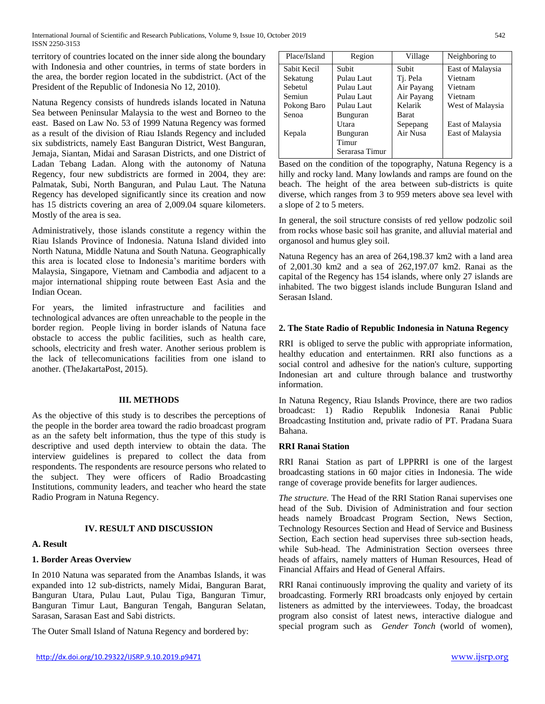International Journal of Scientific and Research Publications, Volume 9, Issue 10, October 2019 542 ISSN 2250-3153

territory of countries located on the inner side along the boundary with Indonesia and other countries, in terms of state borders in the area, the border region located in the subdistrict. (Act of the President of the Republic of Indonesia No 12, 2010).

Natuna Regency consists of hundreds islands located in Natuna Sea between Peninsular Malaysia to the west and Borneo to the east. Based on Law No. 53 of 1999 Natuna Regency was formed as a result of the division of Riau Islands Regency and included six subdistricts, namely East Banguran District, West Banguran, Jemaja, Siantan, Midai and Sarasan Districts, and one District of Ladan Tebang Ladan. Along with the autonomy of Natuna Regency, four new subdistricts are formed in 2004, they are: Palmatak, Subi, North Banguran, and Pulau Laut. The Natuna Regency has developed significantly since its creation and now has 15 districts covering an area of 2,009.04 square kilometers. Mostly of the area is sea.

Administratively, those islands constitute a regency within the Riau Islands Province of Indonesia. Natuna Island divided into North Natuna, Middle Natuna and South Natuna. Geographically this area is located close to Indonesia's maritime borders with Malaysia, Singapore, Vietnam and Cambodia and adjacent to a major international shipping route between East Asia and the Indian Ocean.

For years, the limited infrastructure and facilities and technological advances are often unreachable to the people in the border region. People living in border islands of Natuna face obstacle to access the public facilities, such as health care, schools, electricity and fresh water. Another serious problem is the lack of tellecomunications facilities from one island to another. (TheJakartaPost, 2015).

#### **III. METHODS**

As the objective of this study is to describes the perceptions of the people in the border area toward the radio broadcast program as an the safety belt information, thus the type of this study is descriptive and used depth interview to obtain the data. The interview guidelines is prepared to collect the data from respondents. The respondents are resource persons who related to the subject. They were officers of Radio Broadcasting Institutions, community leaders, and teacher who heard the state Radio Program in Natuna Regency.

# **IV. RESULT AND DISCUSSION**

#### **A. Result**

#### **1. Border Areas Overview**

In 2010 Natuna was separated from the Anambas Islands, it was expanded into 12 sub-districts, namely Midai, Banguran Barat, Banguran Utara, Pulau Laut, Pulau Tiga, Banguran Timur, Banguran Timur Laut, Banguran Tengah, Banguran Selatan, Sarasan, Sarasan East and Sabi districts.

The Outer Small Island of Natuna Regency and bordered by:

| Place/Island | Region         | Village    | Neighboring to   |
|--------------|----------------|------------|------------------|
| Sabit Kecil  | Subit          | Subit      | East of Malaysia |
| Sekatung     | Pulau Laut     | Tj. Pela   | Vietnam          |
| Sebetul      | Pulau Laut     | Air Payang | Vietnam          |
| Semiun       | Pulau Laut     | Air Payang | Vietnam          |
| Pokong Baro  | Pulau Laut     | Kelarik    | West of Malaysia |
| Senoa        | Bunguran       | Barat      |                  |
|              | Utara          | Sepepang   | East of Malaysia |
| Kepala       | Bunguran       | Air Nusa   | East of Malaysia |
|              | Timur          |            |                  |
|              | Serarasa Timur |            |                  |

Based on the condition of the topography, Natuna Regency is a hilly and rocky land. Many lowlands and ramps are found on the beach. The height of the area between sub-districts is quite diverse, which ranges from 3 to 959 meters above sea level with a slope of 2 to 5 meters.

In general, the soil structure consists of red yellow podzolic soil from rocks whose basic soil has granite, and alluvial material and organosol and humus gley soil.

Natuna Regency has an area of 264,198.37 km2 with a land area of 2,001.30 km2 and a sea of 262,197.07 km2. Ranai as the capital of the Regency has 154 islands, where only 27 islands are inhabited. The two biggest islands include Bunguran Island and Serasan Island.

## **2. The State Radio of Republic Indonesia in Natuna Regency**

RRI is obliged to serve the public with appropriate information, healthy education and entertainmen. RRI also functions as a social control and adhesive for the nation's culture, supporting Indonesian art and culture through balance and trustworthy information.

In Natuna Regency, Riau Islands Province, there are two radios broadcast: 1) Radio Republik Indonesia Ranai Public Broadcasting Institution and, private radio of PT. Pradana Suara Bahana.

#### **RRI Ranai Station**

RRI Ranai Station as part of LPPRRI is one of the largest broadcasting stations in 60 major cities in Indonesia. The wide range of coverage provide benefits for larger audiences.

*The structure.* The Head of the RRI Station Ranai supervises one head of the Sub. Division of Administration and four section heads namely Broadcast Program Section, News Section, Technology Resources Section and Head of Service and Business Section, Each section head supervises three sub-section heads, while Sub-head. The Administration Section oversees three heads of affairs, namely matters of Human Resources, Head of Financial Affairs and Head of General Affairs.

RRI Ranai continuously improving the quality and variety of its broadcasting. Formerly RRI broadcasts only enjoyed by certain listeners as admitted by the interviewees. Today, the broadcast program also consist of latest news, interactive dialogue and special program such as *Gender Tonch* (world of women),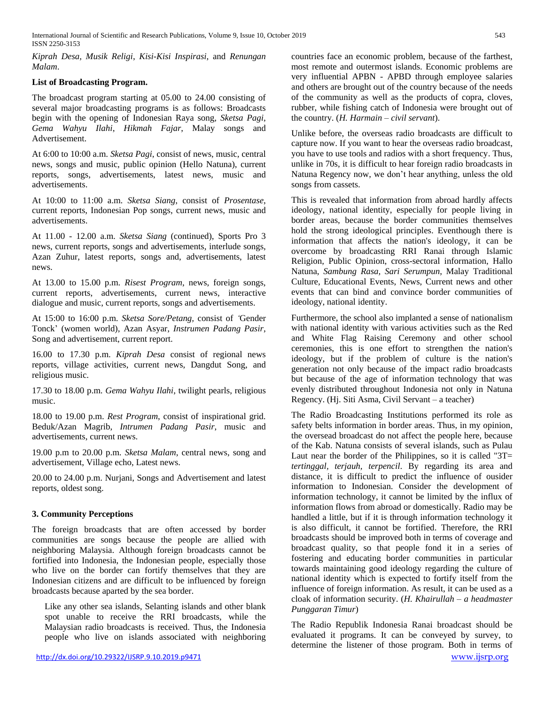International Journal of Scientific and Research Publications, Volume 9, Issue 10, October 2019 543 ISSN 2250-3153

*Kiprah Desa, Musik Religi*, *Kisi-Kisi Inspirasi*, and *Renungan Malam*.

## **List of Broadcasting Program.**

The broadcast program starting at 05.00 to 24.00 consisting of several major broadcasting programs is as follows: Broadcasts begin with the opening of Indonesian Raya song, *Sketsa Pagi*, *Gema Wahyu Ilahi*, *Hikmah Fajar*, Malay songs and Advertisement.

At 6:00 to 10:00 a.m. *Sketsa Pagi*, consist of news, music, central news, songs and music, public opinion (Hello Natuna), current reports, songs, advertisements, latest news, music and advertisements.

At 10:00 to 11:00 a.m. *Sketsa Siang*, consist of *Prosentase*, current reports, Indonesian Pop songs, current news, music and advertisements.

At 11.00 - 12.00 a.m. *Sketsa Siang* (continued), Sports Pro 3 news, current reports, songs and advertisements, interlude songs, Azan Zuhur, latest reports, songs and, advertisements, latest news.

At 13.00 to 15.00 p.m. *Risest Program*, news, foreign songs, current reports, advertisements, current news, interactive dialogue and music, current reports, songs and advertisements.

At 15:00 to 16:00 p.m. *Sketsa Sore/Petang,* consist of *'*Gender Tonck' (women world), Azan Asyar, *Instrumen Padang Pasir*, Song and advertisement, current report.

16.00 to 17.30 p.m. *Kiprah Desa* consist of regional news reports, village activities, current news, Dangdut Song, and religious music.

17.30 to 18.00 p.m. *Gema Wahyu Ilahi*, twilight pearls, religious music.

18.00 to 19.00 p.m. *Rest Program*, consist of inspirational grid. Beduk/Azan Magrib, *Intrumen Padang Pasir*, music and advertisements, current news.

19.00 p.m to 20.00 p.m. *Sketsa Malam*, central news, song and advertisement, Village echo, Latest news.

20.00 to 24.00 p.m. Nurjani, Songs and Advertisement and latest reports, oldest song.

# **3. Community Perceptions**

The foreign broadcasts that are often accessed by border communities are songs because the people are allied with neighboring Malaysia. Although foreign broadcasts cannot be fortified into Indonesia, the Indonesian people, especially those who live on the border can fortify themselves that they are Indonesian citizens and are difficult to be influenced by foreign broadcasts because aparted by the sea border.

Like any other sea islands, Selanting islands and other blank spot unable to receive the RRI broadcasts, while the Malaysian radio broadcasts is received. Thus, the Indonesia people who live on islands associated with neighboring countries face an economic problem, because of the farthest, most remote and outermost islands. Economic problems are very influential APBN - APBD through employee salaries and others are brought out of the country because of the needs of the community as well as the products of copra, cloves, rubber, while fishing catch of Indonesia were brought out of the country. (*H. Harmain – civil servant*).

Unlike before, the overseas radio broadcasts are difficult to capture now. If you want to hear the overseas radio broadcast, you have to use tools and radios with a short frequency. Thus, unlike in 70s, it is difficult to hear foreign radio broadcasts in Natuna Regency now, we don't hear anything, unless the old songs from cassets.

This is revealed that information from abroad hardly affects ideology, national identity, especially for people living in border areas, because the border communities themselves hold the strong ideological principles. Eventhough there is information that affects the nation's ideology, it can be overcome by broadcasting RRI Ranai through Islamic Religion, Public Opinion, cross-sectoral information, Hallo Natuna, *Sambung Rasa, Sari Serumpun*, Malay Traditional Culture, Educational Events, News, Current news and other events that can bind and convince border communities of ideology, national identity.

Furthermore, the school also implanted a sense of nationalism with national identity with various activities such as the Red and White Flag Raising Ceremony and other school ceremonies, this is one effort to strengthen the nation's ideology, but if the problem of culture is the nation's generation not only because of the impact radio broadcasts but because of the age of information technology that was evenly distributed throughout Indonesia not only in Natuna Regency. (Hj. Siti Asma, Civil Servant – a teacher)

The Radio Broadcasting Institutions performed its role as safety belts information in border areas. Thus, in my opinion, the oversead broadcast do not affect the people here, because of the Kab. Natuna consists of several islands, such as Pulau Laut near the border of the Philippines, so it is called "3T= *tertinggal, terjauh, terpencil*. By regarding its area and distance, it is difficult to predict the influence of ousider information to Indonesian. Consider the development of information technology, it cannot be limited by the influx of information flows from abroad or domestically. Radio may be handled a little, but if it is through information technology it is also difficult, it cannot be fortified. Therefore, the RRI broadcasts should be improved both in terms of coverage and broadcast quality, so that people fond it in a series of fostering and educating border communities in particular towards maintaining good ideology regarding the culture of national identity which is expected to fortify itself from the influence of foreign information. As result, it can be used as a cloak of information security. (*H. Khairullah – a headmaster Punggaran Timur*)

<http://dx.doi.org/10.29322/IJSRP.9.10.2019.p9471> [www.ijsrp.org](http://ijsrp.org/) The Radio Republik Indonesia Ranai broadcast should be evaluated it programs. It can be conveyed by survey, to determine the listener of those program. Both in terms of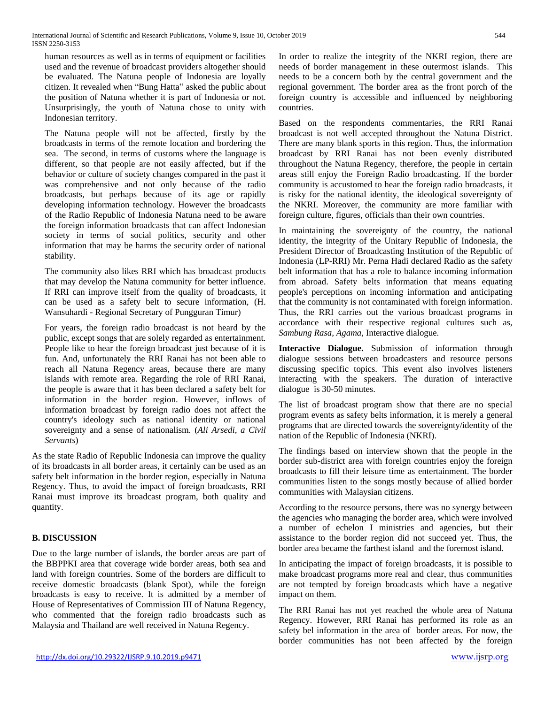human resources as well as in terms of equipment or facilities used and the revenue of broadcast providers altogether should be evaluated. The Natuna people of Indonesia are loyally citizen. It revealed when "Bung Hatta" asked the public about the position of Natuna whether it is part of Indonesia or not. Unsurprisingly, the youth of Natuna chose to unity with Indonesian territory.

The Natuna people will not be affected, firstly by the broadcasts in terms of the remote location and bordering the sea. The second, in terms of customs where the language is different, so that people are not easily affected, but if the behavior or culture of society changes compared in the past it was comprehensive and not only because of the radio broadcasts, but perhaps because of its age or rapidly developing information technology. However the broadcasts of the Radio Republic of Indonesia Natuna need to be aware the foreign information broadcasts that can affect Indonesian society in terms of social politics, security and other information that may be harms the security order of national stability.

The community also likes RRI which has broadcast products that may develop the Natuna community for better influence. If RRI can improve itself from the quality of broadcasts, it can be used as a safety belt to secure information, (H. Wansuhardi - Regional Secretary of Pungguran Timur)

For years, the foreign radio broadcast is not heard by the public, except songs that are solely regarded as entertainment. People like to hear the foreign broadcast just because of it is fun. And, unfortunately the RRI Ranai has not been able to reach all Natuna Regency areas, because there are many islands with remote area. Regarding the role of RRI Ranai, the people is aware that it has been declared a safety belt for information in the border region. However, inflows of information broadcast by foreign radio does not affect the country's ideology such as national identity or national sovereignty and a sense of nationalism. (*Ali Arsedi, a Civil Servants*)

As the state Radio of Republic Indonesia can improve the quality of its broadcasts in all border areas, it certainly can be used as an safety belt information in the border region, especially in Natuna Regency. Thus, to avoid the impact of foreign broadcasts, RRI Ranai must improve its broadcast program, both quality and quantity.

# **B. DISCUSSION**

Due to the large number of islands, the border areas are part of the BBPPKI area that coverage wide border areas, both sea and land with foreign countries. Some of the borders are difficult to receive domestic broadcasts (blank Spot), while the foreign broadcasts is easy to receive. It is admitted by a member of House of Representatives of Commission III of Natuna Regency, who commented that the foreign radio broadcasts such as Malaysia and Thailand are well received in Natuna Regency.

In order to realize the integrity of the NKRI region, there are needs of border management in these outermost islands. This needs to be a concern both by the central government and the regional government. The border area as the front porch of the foreign country is accessible and influenced by neighboring countries.

Based on the respondents commentaries, the RRI Ranai broadcast is not well accepted throughout the Natuna District. There are many blank sports in this region. Thus, the information broadcast by RRI Ranai has not been evenly distributed throughout the Natuna Regency, therefore, the people in certain areas still enjoy the Foreign Radio broadcasting. If the border community is accustomed to hear the foreign radio broadcasts, it is risky for the national identity, the ideological sovereignty of the NKRI. Moreover, the community are more familiar with foreign culture, figures, officials than their own countries.

In maintaining the sovereignty of the country, the national identity, the integrity of the Unitary Republic of Indonesia, the President Director of Broadcasting Institution of the Republic of Indonesia (LP-RRI) Mr. Perna Hadi declared Radio as the safety belt information that has a role to balance incoming information from abroad. Safety belts information that means equating people's perceptions on incoming information and anticipating that the community is not contaminated with foreign information. Thus, the RRI carries out the various broadcast programs in accordance with their respective regional cultures such as, *Sambung Rasa, Agama,* Interactive dialogue.

**Interactive Dialogue.** Submission of information through dialogue sessions between broadcasters and resource persons discussing specific topics. This event also involves listeners interacting with the speakers. The duration of interactive dialogue is 30-50 minutes.

The list of broadcast program show that there are no special program events as safety belts information, it is merely a general programs that are directed towards the sovereignty/identity of the nation of the Republic of Indonesia (NKRI).

The findings based on interview shown that the people in the border sub-district area with foreign countries enjoy the foreign broadcasts to fill their leisure time as entertainment. The border communities listen to the songs mostly because of allied border communities with Malaysian citizens.

According to the resource persons, there was no synergy between the agencies who managing the border area, which were involved a number of echelon I ministries and agencies, but their assistance to the border region did not succeed yet. Thus, the border area became the farthest island and the foremost island.

In anticipating the impact of foreign broadcasts, it is possible to make broadcast programs more real and clear, thus communities are not tempted by foreign broadcasts which have a negative impact on them.

The RRI Ranai has not yet reached the whole area of Natuna Regency. However, RRI Ranai has performed its role as an safety bel information in the area of border areas. For now, the border communities has not been affected by the foreign